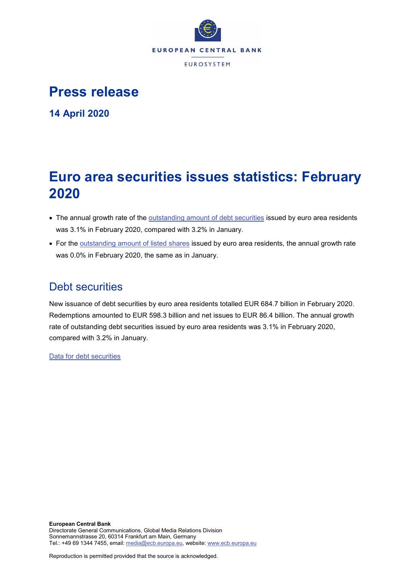

# **Press release**

**14 April 2020**

# **Euro area securities issues statistics: February 2020**

- The annual growth rate of the [outstanding amount of debt securities](http://sdw.ecb.europa.eu/quickview.do?SERIES_KEY=130.SEC.M.I8.1000.F33000.N.I.Z01.A.Z) issued by euro area residents was 3.1% in February 2020, compared with 3.2% in January.
- For the [outstanding amount of listed shares](http://sdw.ecb.europa.eu/quickview.do?SERIES_KEY=130.SEC.M.I8.1000.F51100.M.I.Z01.A.Z) issued by euro area residents, the annual growth rate was 0.0% in February 2020, the same as in January.

# Debt securities

New issuance of debt securities by euro area residents totalled EUR 684.7 billion in February 2020. Redemptions amounted to EUR 598.3 billion and net issues to EUR 86.4 billion. The annual growth rate of outstanding debt securities issued by euro area residents was 3.1% in February 2020, compared with 3.2% in January.

[Data for debt securities](http://sdw.ecb.europa.eu/browseSelection.do?type=series&q=SEC.M.I8.1000.F33000.N.2.Z01.E.Z%2c+SEC.M.I8.1000.F33000.N.3.Z01.E.Z%2c+SEC.M.I8.1000.F33000.N.4.Z01.E.Z%2c+SEC.M.I8.1000.F33000.N.I.Z01.A.Z&node=SEARCHRESULTS&ec=&oc=&rc=&cv=&pb=&dc=&df=)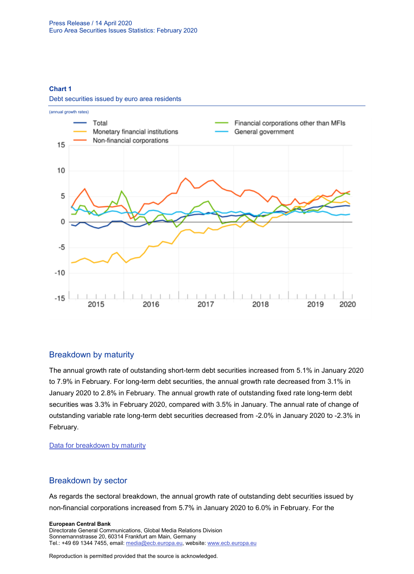## **Chart 1**

Debt securities issued by euro area residents



# Breakdown by maturity

The annual growth rate of outstanding short-term debt securities increased from 5.1% in January 2020 to 7.9% in February. For long-term debt securities, the annual growth rate decreased from 3.1% in January 2020 to 2.8% in February. The annual growth rate of outstanding fixed rate long-term debt securities was 3.3% in February 2020, compared with 3.5% in January. The annual rate of change of outstanding variable rate long-term debt securities decreased from -2.0% in January 2020 to -2.3% in February.

## [Data for breakdown by maturity](http://sdw.ecb.europa.eu/browseSelection.do?type=series&q=SEC.M.I8.1000.F33100.N.I.Z01.A.Z%2c+SEC.M.I8.1000.F33200.N.I.Z01.A.Z%2c+SEC.M.I8.1000.F33201.N.I.Z01.A.Z%2c+SEC.M.I8.1000.F33202.N.I.Z01.A.Z&node=SEARCHRESULTS&ec=&oc=&rc=&cv=&pb=&dc=&df=)

# Breakdown by sector

As regards the sectoral breakdown, the annual growth rate of outstanding debt securities issued by non-financial corporations increased from 5.7% in January 2020 to 6.0% in February. For the

#### **European Central Bank**

Directorate General Communications, Global Media Relations Division Sonnemannstrasse 20, 60314 Frankfurt am Main, Germany Tel.: +49 69 1344 7455, email[: media@ecb.europa.eu,](mailto:media@ecb.europa.eu) website: www.ecb.europa.eu

Reproduction is permitted provided that the source is acknowledged.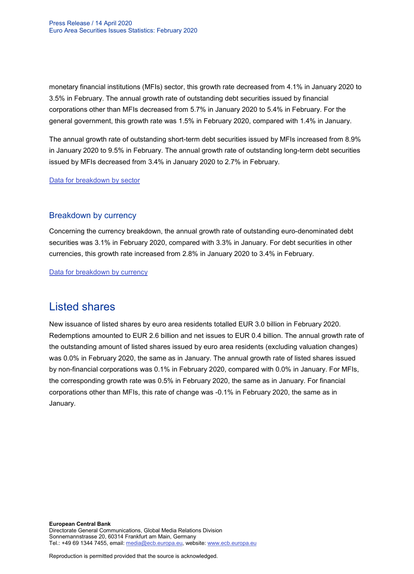monetary financial institutions (MFIs) sector, this growth rate decreased from 4.1% in January 2020 to 3.5% in February. The annual growth rate of outstanding debt securities issued by financial corporations other than MFIs decreased from 5.7% in January 2020 to 5.4% in February. For the general government, this growth rate was 1.5% in February 2020, compared with 1.4% in January.

The annual growth rate of outstanding short-term debt securities issued by MFIs increased from 8.9% in January 2020 to 9.5% in February. The annual growth rate of outstanding long-term debt securities issued by MFIs decreased from 3.4% in January 2020 to 2.7% in February.

[Data for breakdown by sector](http://sdw.ecb.europa.eu/browseSelection.do?type=series&q=SEC.M.I8.1100.F33000.N.I.Z01.A.Z%2cSEC.M.I8.1220.F33000.N.I.Z01.A.Z%2cSEC.M.I8.1235.F33000.N.I.Z01.A.Z%2cSEC.M.I8.1300.F33000.N.I.Z01.A.Z%2cSEC.M.I8.1220.F33100.N.I.Z01.A.Z%2cSEC.M.I8.1220.F33200.N.I.Z01.A.Z&node=SEARCHRESULTS&ec=&oc=&rc=&cv=&pb=&dc=&df=)

# Breakdown by currency

Concerning the currency breakdown, the annual growth rate of outstanding euro-denominated debt securities was 3.1% in February 2020, compared with 3.3% in January. For debt securities in other currencies, this growth rate increased from 2.8% in January 2020 to 3.4% in February.

[Data for breakdown by currency](http://sdw.ecb.europa.eu/browseSelection.do?type=series&q=SEC.M.I8.1000.F33000.N.I.EUR.A.Z%2cSEC.M.I8.1000.F33000.N.I.Z06.A.Z&node=SEARCHRESULTS&ec=&oc=&rc=&cv=&pb=&dc=&df=)

# Listed shares

New issuance of listed shares by euro area residents totalled EUR 3.0 billion in February 2020. Redemptions amounted to EUR 2.6 billion and net issues to EUR 0.4 billion. The annual growth rate of the outstanding amount of listed shares issued by euro area residents (excluding valuation changes) was 0.0% in February 2020, the same as in January. The annual growth rate of listed shares issued by non-financial corporations was 0.1% in February 2020, compared with 0.0% in January. For MFIs, the corresponding growth rate was 0.5% in February 2020, the same as in January. For financial corporations other than MFIs, this rate of change was -0.1% in February 2020, the same as in January.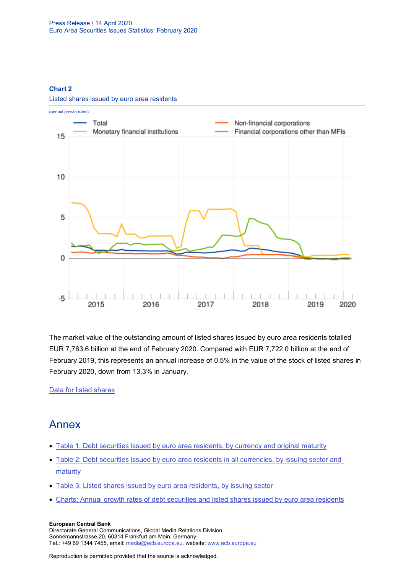## **Chart 2**



Listed shares issued by euro area residents

The market value of the outstanding amount of listed shares issued by euro area residents totalled EUR 7,763.6 billion at the end of February 2020. Compared with EUR 7,722.0 billion at the end of February 2019, this represents an annual increase of 0.5% in the value of the stock of listed shares in February 2020, down from 13.3% in January.

## [Data for listed shares](http://sdw.ecb.europa.eu/browseSelection.do?type=series&q=SEC.M.I8.1000.F51100.M.2.Z01.E.Z%2cSEC.M.I8.1000.F51100.M.3.Z01.E.Z%2cSEC.M.I8.1000.F51100.M.4.Z01.E.Z%2cSEC.M.I8.1000.F51100.M.I.Z01.A.Z%2cSEC.M.I8.1100.F51100.M.I.Z01.A.Z%2cSEC.M.I8.1220.F51100.M.I.Z01.A.Z%2cSEC.M.I8.1235.F51100.M.I.Z01.A.Z%2cSEC.M.I8.1000.F51100.M.1.Z01.E.Z&node=SEARCHRESULTS&ec=&oc=&rc=&cv=&pb=&dc=&df=)

# Annex

- [Table 1: Debt securities issued by euro area residents, by currency and original maturity](http://sdw.ecb.europa.eu/web/generator/prl/pr_sec_t01_202002.pdf)
- [Table 2: Debt securities issued by euro area residents in all currencies, by issuing sector and](http://sdw.ecb.europa.eu/web/generator/prl/pr_sec_t02_202002.pdf)  [maturity](http://sdw.ecb.europa.eu/web/generator/prl/pr_sec_t02_202002.pdf)
- [Table 3: Listed shares issued by euro area residents, by issuing sector](http://sdw.ecb.europa.eu/web/generator/prl/pr_sec_t03_202002.pdf)
- [Charts: Annual growth rates of debt securities and listed shares issued by euro area residents](http://sdw.ecb.europa.eu/web/generator/prl/pr_sec_c01_202002.pdf)

## **European Central Bank**

Directorate General Communications, Global Media Relations Division Sonnemannstrasse 20, 60314 Frankfurt am Main, Germany Tel.: +49 69 1344 7455, email[: media@ecb.europa.eu,](mailto:media@ecb.europa.eu) website: www.ecb.europa.eu

Reproduction is permitted provided that the source is acknowledged.